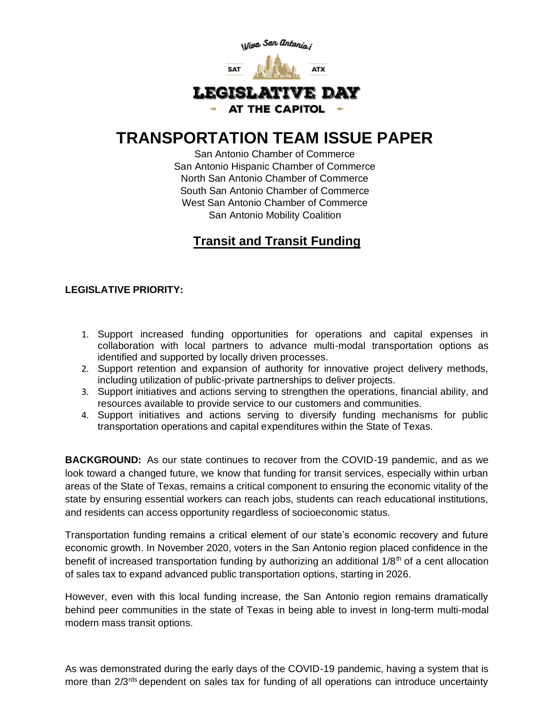

## **TRANSPORTATION TEAM ISSUE PAPER**

San Antonio Chamber of Commerce San Antonio Hispanic Chamber of Commerce North San Antonio Chamber of Commerce South San Antonio Chamber of Commerce West San Antonio Chamber of Commerce San Antonio Mobility Coalition

## **Transit and Transit Funding**

## **LEGISLATIVE PRIORITY:**

- 1. Support increased funding opportunities for operations and capital expenses in collaboration with local partners to advance multi-modal transportation options as identified and supported by locally driven processes.
- 2. Support retention and expansion of authority for innovative project delivery methods, including utilization of public-private partnerships to deliver projects.
- 3. Support initiatives and actions serving to strengthen the operations, financial ability, and resources available to provide service to our customers and communities.
- 4. Support initiatives and actions serving to diversify funding mechanisms for public transportation operations and capital expenditures within the State of Texas.

**BACKGROUND:** As our state continues to recover from the COVID-19 pandemic, and as we look toward a changed future, we know that funding for transit services, especially within urban areas of the State of Texas, remains a critical component to ensuring the economic vitality of the state by ensuring essential workers can reach jobs, students can reach educational institutions, and residents can access opportunity regardless of socioeconomic status.

Transportation funding remains a critical element of our state's economic recovery and future economic growth. In November 2020, voters in the San Antonio region placed confidence in the benefit of increased transportation funding by authorizing an additional  $1/8<sup>th</sup>$  of a cent allocation of sales tax to expand advanced public transportation options, starting in 2026.

However, even with this local funding increase, the San Antonio region remains dramatically behind peer communities in the state of Texas in being able to invest in long-term multi-modal modern mass transit options.

As was demonstrated during the early days of the COVID-19 pandemic, having a system that is more than 2/3<sup>rds</sup> dependent on sales tax for funding of all operations can introduce uncertainty